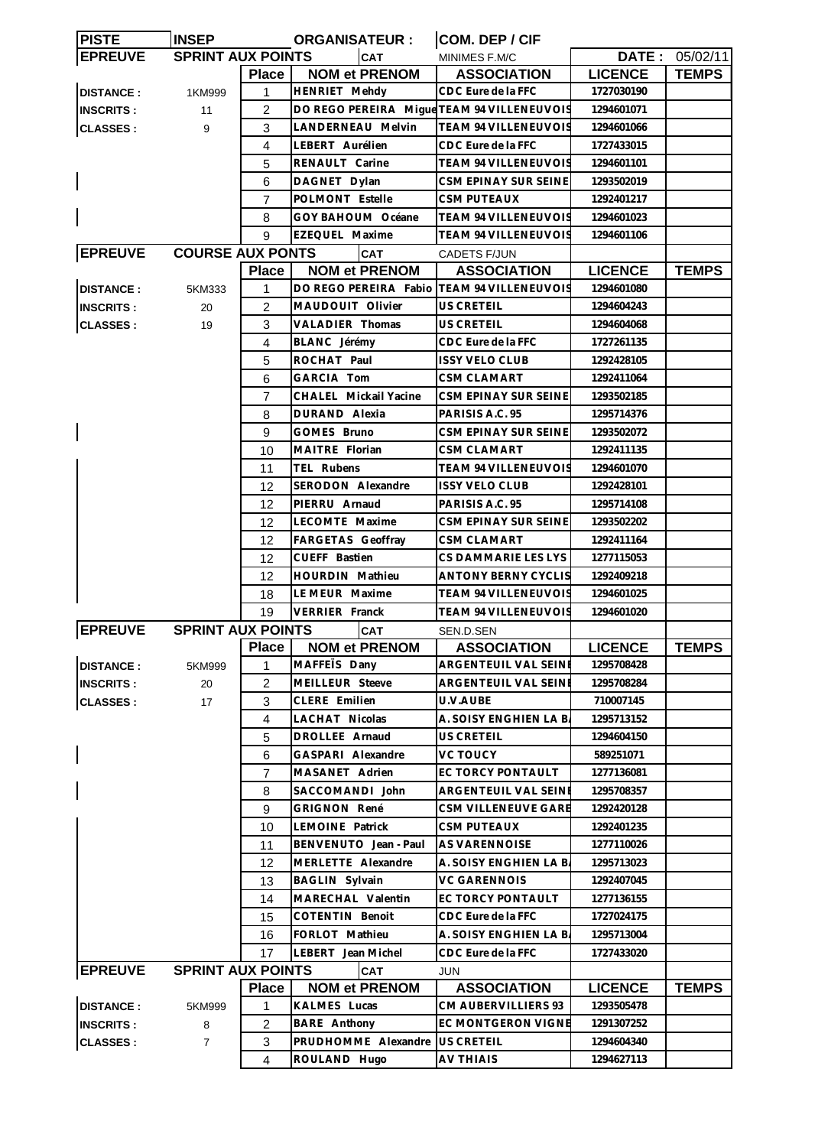| <b>PISTE</b>     | <b>INSEP</b>             |                | <b>ORGANISATEUR:</b>                       | COM. DEP / CIF              |                |                       |
|------------------|--------------------------|----------------|--------------------------------------------|-----------------------------|----------------|-----------------------|
| <b>EPREUVE</b>   | <b>SPRINT AUX POINTS</b> |                | <b>CAT</b>                                 | MINIMES F.M/C               |                | <b>DATE: 05/02/11</b> |
|                  |                          | <b>Place</b>   | <b>NOM et PRENOM</b>                       | <b>ASSOCIATION</b>          | <b>LICENCE</b> | <b>TEMPS</b>          |
| <b>DISTANCE:</b> | 1KM999                   | $\mathbf{1}$   | <b>HENRIET Mehdy</b>                       | CDC Eure de la FFC          | 1727030190     |                       |
| <b>INSCRITS:</b> | 11                       | $\overline{c}$ | DO REGO PEREIRA Mique TEAM 94 VILLENEUVOIS |                             | 1294601071     |                       |
| <b>CLASSES:</b>  | 9                        | 3              | LANDERNEAU Melvin                          | TEAM 94 VILLENEUVOIS        | 1294601066     |                       |
|                  |                          | 4              | LEBERT Aurélien                            | CDC Eure de la FFC          | 1727433015     |                       |
|                  |                          | 5              | RENAULT Carine                             | TEAM 94 VILLENEUVOIS        | 1294601101     |                       |
|                  |                          | 6              | DAGNET Dylan                               | CSM EPINAY SUR SEINE        | 1293502019     |                       |
|                  |                          | 7              | POLMONT Estelle                            | <b>CSM PUTEAUX</b>          | 1292401217     |                       |
|                  |                          | 8              | GOY BAHOUM Océane                          | TEAM 94 VILLENEUVOIS        | 1294601023     |                       |
|                  |                          | 9              | EZEQUEL Maxime                             | <b>TEAM 94 VILLENEUVOIS</b> | 1294601106     |                       |
| <b>EPREUVE</b>   | <b>COURSE AUX PONTS</b>  |                | <b>CAT</b>                                 | CADETS F/JUN                |                |                       |
|                  |                          | <b>Place</b>   | <b>NOM et PRENOM</b>                       | <b>ASSOCIATION</b>          | <b>LICENCE</b> | <b>TEMPS</b>          |
|                  |                          | $\mathbf{1}$   | DO REGO PEREIRA Fabio                      | <b>TEAM 94 VILLENEUVOIS</b> | 1294601080     |                       |
| <b>DISTANCE:</b> | 5KM333                   |                |                                            |                             |                |                       |
| <b>INSCRITS:</b> | 20                       | 2              | MAUDOUIT Olivier                           | US CRETEIL                  | 1294604243     |                       |
| <b>CLASSES:</b>  | 19                       | 3              | <b>VALADIER Thomas</b>                     | US CRETEIL                  | 1294604068     |                       |
|                  |                          | 4              | BLANC Jérémy                               | CDC Eure de la FFC          | 1727261135     |                       |
|                  |                          | 5              | ROCHAT Paul                                | <b>ISSY VELO CLUB</b>       | 1292428105     |                       |
|                  |                          | 6              | GARCIA Tom                                 | CSM CLAMART                 | 1292411064     |                       |
|                  |                          | 7              | CHALEL Mickail Yacine                      | CSM EPINAY SUR SEINE        | 1293502185     |                       |
|                  |                          | 8              | DURAND Alexia                              | PARISIS A.C. 95             | 1295714376     |                       |
|                  |                          | 9              | GOMES Bruno                                | CSM EPINAY SUR SEINE        | 1293502072     |                       |
|                  |                          | 10             | MAITRE Florian                             | CSM CLAMART                 | 1292411135     |                       |
|                  |                          | 11             | TEL Rubens                                 | TEAM 94 VILLENEUVOIS        | 1294601070     |                       |
|                  |                          | 12             | SERODON Alexandre                          | <b>ISSY VELO CLUB</b>       | 1292428101     |                       |
|                  |                          | 12             | PIERRU Arnaud                              | PARISIS A.C. 95             | 1295714108     |                       |
|                  |                          | 12             | LECOMTE Maxime                             | CSM EPINAY SUR SEINE        | 1293502202     |                       |
|                  |                          | 12             | FARGETAS Geoffray                          | CSM CLAMART                 | 1292411164     |                       |
|                  |                          | 12             | CUEFF Bastien                              | CS DAMMARIE LES LYS         | 1277115053     |                       |
|                  |                          | 12             | <b>HOURDIN Mathieu</b>                     | ANTONY BERNY CYCLIS         | 1292409218     |                       |
|                  |                          | 18             | LE MEUR Maxime                             | <b>TEAM 94 VILLENEUVOIS</b> | 1294601025     |                       |
|                  |                          | 19             | <b>VERRIER Franck</b>                      | TEAM 94 VILLENEUVOIS        | 1294601020     |                       |
| <b>EPREUVE</b>   | <b>SPRINT AUX POINTS</b> |                | <b>CAT</b>                                 | SEN.D.SEN                   |                |                       |
|                  |                          |                | Place NOM et PRENOM                        | <b>ASSOCIATION</b>          | <b>LICENCE</b> | <b>TEMPS</b>          |
| <b>DISTANCE:</b> | 5KM999                   | 1              | MAFFETS Dany                               | ARGENTEUIL VAL SEINE        | 1295708428     |                       |
| <b>INSCRITS:</b> | 20                       | 2              | MEILLEUR Steeve                            | ARGENTEUIL VAL SEINE        | 1295708284     |                       |
| <b>CLASSES:</b>  | 17                       | 3              | CLERE Emilien                              | U.V.AUBE                    | 710007145      |                       |
|                  |                          | 4              | LACHAT Nicolas                             | A. SOISY ENGHIEN LA B.      | 1295713152     |                       |
|                  |                          |                |                                            |                             |                |                       |
|                  |                          | 5              | DROLLEE Arnaud                             | US CRETEIL                  | 1294604150     |                       |
|                  |                          | 6              | GASPARI Alexandre                          | <b>VC TOUCY</b>             | 589251071      |                       |
|                  |                          | $\overline{7}$ | MASANET Adrien                             | EC TORCY PONTAULT           | 1277136081     |                       |
|                  |                          | 8              | SACCOMANDI John                            | ARGENTEUIL VAL SEINE        | 1295708357     |                       |
|                  |                          | 9              | <b>GRIGNON René</b>                        | CSM VILLENEUVE GARE         | 1292420128     |                       |
|                  |                          | 10             | LEMOINE Patrick                            | CSM PUTEAUX                 | 1292401235     |                       |
|                  |                          | 11             | BENVENUTO Jean - Paul                      | AS VARENNOISE               | 1277110026     |                       |
|                  |                          | 12             | MERLETTE Alexandre                         | A. SOISY ENGHIEN LA B.      | 1295713023     |                       |
|                  |                          | 13             | BAGLIN Sylvain                             | VC GARENNOIS                | 1292407045     |                       |
|                  |                          | 14             | MARECHAL Valentin                          | EC TORCY PONTAULT           | 1277136155     |                       |
|                  |                          | 15             | <b>COTENTIN Benoit</b>                     | CDC Eure de la FFC          | 1727024175     |                       |
|                  |                          | 16             | FORLOT Mathieu                             | A. SOISY ENGHIEN LA B.      | 1295713004     |                       |
|                  |                          | 17             | LEBERT Jean Michel                         | CDC Eure de la FFC          | 1727433020     |                       |
| <b>EPREUVE</b>   | <b>SPRINT AUX POINTS</b> |                | CAT                                        | JUN                         |                |                       |
|                  |                          | <b>Place</b>   | <b>NOM et PRENOM</b>                       | <b>ASSOCIATION</b>          | <b>LICENCE</b> | <b>TEMPS</b>          |
| <b>DISTANCE:</b> | 5KM999                   | $\mathbf{1}$   | KALMES Lucas                               | CM AUBERVILLIERS 93         | 1293505478     |                       |
| <b>INSCRITS:</b> | 8                        | 2              | BARE Anthony                               | EC MONTGERON VIGNE          | 1291307252     |                       |
| <b>CLASSES:</b>  | 7                        | 3              | PRUDHOMME Alexandre                        | <b>US CRETEIL</b>           | 1294604340     |                       |
|                  |                          | $\overline{4}$ | ROULAND Hugo                               | <b>AV THIAIS</b>            | 1294627113     |                       |
|                  |                          |                |                                            |                             |                |                       |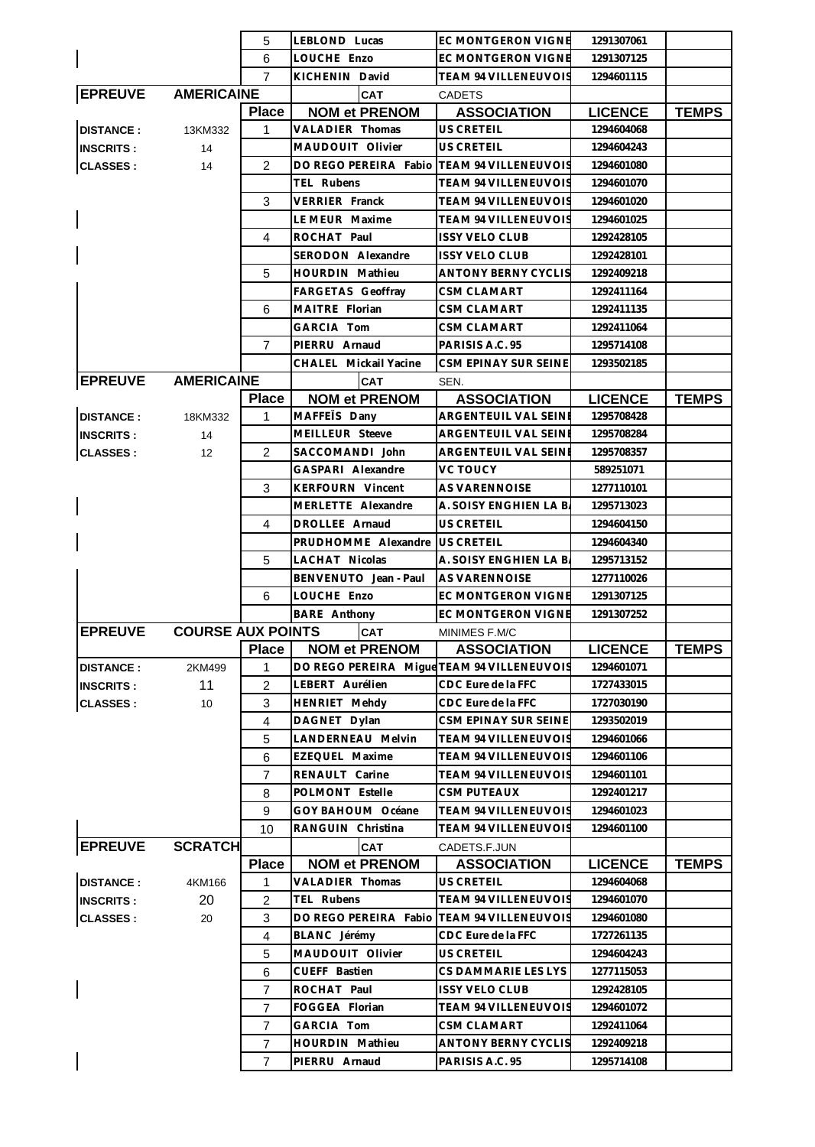|                  |                          | 5                   | LEBLOND Lucas                                                 | EC MONTGERON VIGNE                                | 1291307061                   |              |
|------------------|--------------------------|---------------------|---------------------------------------------------------------|---------------------------------------------------|------------------------------|--------------|
|                  |                          | 6                   | LOUCHE Enzo                                                   | EC MONTGERON VIGNE                                | 1291307125                   |              |
|                  |                          | $\overline{7}$      | KICHENIN David                                                | TEAM 94 VILLENEUVOIS                              | 1294601115                   |              |
| <b>EPREUVE</b>   | <b>AMERICAINE</b>        |                     | <b>CAT</b>                                                    | <b>CADETS</b>                                     |                              |              |
|                  |                          | <b>Place</b>        | <b>NOM et PRENOM</b>                                          | <b>ASSOCIATION</b>                                | <b>LICENCE</b>               | <b>TEMPS</b> |
| <b>DISTANCE:</b> | 13KM332                  | 1                   | VALADIER Thomas                                               | US CRETEIL                                        | 1294604068                   |              |
| <b>INSCRITS:</b> | 14                       |                     | MAUDOUIT Olivier                                              | <b>US CRETEIL</b>                                 | 1294604243                   |              |
| <b>CLASSES:</b>  | 14                       | 2                   | DO REGO PEREIRA Fabio                                         | <b>TEAM 94 VILLENEUVOIS</b>                       | 1294601080                   |              |
|                  |                          |                     | TEL Rubens                                                    | TEAM 94 VILLENEUVOIS                              | 1294601070                   |              |
|                  |                          | 3                   | <b>VERRIER Franck</b>                                         | <b>TEAM 94 VILLENEUVOIS</b>                       | 1294601020                   |              |
|                  |                          |                     | LE MEUR Maxime                                                | <b>TEAM 94 VILLENEUVOIS</b>                       | 1294601025                   |              |
|                  |                          | 4                   | ROCHAT Paul                                                   | <b>ISSY VELO CLUB</b>                             | 1292428105                   |              |
|                  |                          |                     | SERODON Alexandre                                             | <b>ISSY VELO CLUB</b>                             | 1292428101                   |              |
|                  |                          | 5                   | HOURDIN Mathieu                                               | ANTONY BERNY CYCLIS                               | 1292409218                   |              |
|                  |                          |                     | FARGETAS Geoffray                                             | <b>CSM CLAMART</b>                                | 1292411164                   |              |
|                  |                          | 6                   | MAITRE Florian                                                | <b>CSM CLAMART</b>                                | 1292411135                   |              |
|                  |                          |                     | GARCIA Tom                                                    | <b>CSM CLAMART</b>                                | 1292411064                   |              |
|                  |                          | $\overline{7}$      | PIERRU Arnaud                                                 | PARISIS A.C. 95                                   | 1295714108                   |              |
|                  |                          |                     | CHALEL Mickail Yacine                                         | CSM EPINAY SUR SEINE                              | 1293502185                   |              |
| <b>EPREUVE</b>   | <b>AMERICAINE</b>        |                     | <b>CAT</b>                                                    | SEN.                                              |                              |              |
|                  |                          | <b>Place</b>        | <b>NOM et PRENOM</b>                                          | <b>ASSOCIATION</b>                                | <b>LICENCE</b>               | <b>TEMPS</b> |
| <b>DISTANCE:</b> | 18KM332                  | 1                   | MAFFETS Dany                                                  | ARGENTEUIL VAL SEINE                              | 1295708428                   |              |
| <b>INSCRITS:</b> | 14                       |                     | MEILLEUR Steeve                                               | ARGENTEUIL VAL SEINI                              | 1295708284                   |              |
|                  | 12                       | 2                   | SACCOMANDI John                                               | ARGENTEUIL VAL SEINE                              | 1295708357                   |              |
| <b>CLASSES:</b>  |                          |                     | GASPARI Alexandre                                             | VC TOUCY                                          | 589251071                    |              |
|                  |                          | 3                   | <b>KERFOURN Vincent</b>                                       | AS VARENNOISE                                     | 1277110101                   |              |
|                  |                          |                     | MERLETTE Alexandre                                            | A. SOISY ENGHIEN LA B                             | 1295713023                   |              |
|                  |                          | 4                   | DROLLEE Arnaud                                                | <b>US CRETEIL</b>                                 | 1294604150                   |              |
|                  |                          |                     | PRUDHOMME Alexandre                                           | <b>US CRETEIL</b>                                 | 1294604340                   |              |
|                  |                          | 5                   | LACHAT Nicolas                                                | A. SOISY ENGHIEN LA B.                            | 1295713152                   |              |
|                  |                          |                     |                                                               |                                                   |                              |              |
|                  |                          |                     | BENVENUTO Jean - Paul<br>LOUCHE Enzo                          | <b>AS VARENNOISE</b><br><b>EC MONTGERON VIGNE</b> | 1277110026                   |              |
|                  |                          | 6                   | <b>BARE</b> Anthony                                           | <b>EC MONTGERON VIGNE</b>                         | 1291307125                   |              |
| <b>EPREUVE</b>   | <b>COURSE AUX POINTS</b> |                     | <b>CAT</b>                                                    |                                                   | 1291307252                   |              |
|                  |                          |                     |                                                               | MINIMES F.M/C                                     |                              |              |
|                  |                          | <b>Place</b>        | <b>NOM et PRENOM</b>                                          | <b>ASSOCIATION</b>                                | <b>LICENCE</b><br>1294601071 | <b>TEMPS</b> |
| <b>DISTANCE:</b> | 2KM499<br>11             | 1                   | DO REGO PEREIRA Migue TEAM 94 VILLENEUVOIS<br>LEBERT Aurélien | CDC Eure de la FFC                                | 1727433015                   |              |
| <b>INSCRITS:</b> |                          | $\overline{c}$<br>3 | HENRIET Mehdy                                                 | CDC Eure de la FFC                                | 1727030190                   |              |
| <b>CLASSES:</b>  | 10                       | $\overline{4}$      | DAGNET Dylan                                                  | CSM EPINAY SUR SEINE                              | 1293502019                   |              |
|                  |                          |                     |                                                               | TEAM 94 VILLENEUVOIS                              |                              |              |
|                  |                          | 5                   | LANDERNEAU Melvin<br>EZEQUEL Maxime                           | <b>TEAM 94 VILLENEUVOIS</b>                       | 1294601066                   |              |
|                  |                          | 6                   |                                                               |                                                   | 1294601106                   |              |
|                  |                          | $\overline{7}$      | RENAULT Carine                                                | <b>TEAM 94 VILLENEUVOIS</b>                       | 1294601101                   |              |
|                  |                          | 8                   | POLMONT Estelle                                               | <b>CSM PUTEAUX</b>                                | 1292401217                   |              |
|                  |                          | 9                   | GOY BAHOUM Océane                                             | <b>TEAM 94 VILLENEUVOIS</b>                       | 1294601023                   |              |
|                  |                          | 10                  | RANGUIN Christina                                             | TEAM 94 VILLENEUVOIS                              | 1294601100                   |              |
| <b>EPREUVE</b>   | <b>SCRATCH</b>           |                     | <b>CAT</b>                                                    | CADETS.F.JUN                                      |                              |              |
|                  |                          | <b>Place</b>        | <b>NOM et PRENOM</b>                                          | <b>ASSOCIATION</b>                                | <b>LICENCE</b>               | <b>TEMPS</b> |
| <b>DISTANCE:</b> | 4KM166                   | 1                   | VALADIER Thomas                                               | US CRETEIL                                        | 1294604068                   |              |
| <b>INSCRITS:</b> | 20                       | $\overline{c}$      | TEL Rubens                                                    | TEAM 94 VILLENEUVOIS                              | 1294601070                   |              |
| <b>CLASSES:</b>  | 20                       | 3                   | DO REGO PEREIRA Fabio                                         | TEAM 94 VILLENEUVOIS                              | 1294601080                   |              |
|                  |                          | $\overline{4}$      | BLANC Jérémy                                                  | CDC Eure de la FFC                                | 1727261135                   |              |
|                  |                          | 5                   | MAUDOUIT Olivier                                              | US CRETEIL                                        | 1294604243                   |              |
|                  |                          | 6                   | CUEFF Bastien                                                 | CS DAMMARIE LES LYS                               | 1277115053                   |              |
|                  |                          | $\overline{7}$      | ROCHAT Paul                                                   | <b>ISSY VELO CLUB</b>                             | 1292428105                   |              |
|                  |                          | 7                   | FOGGEA Florian                                                | <b>TEAM 94 VILLENEUVOIS</b>                       | 1294601072                   |              |
|                  |                          | $\overline{7}$      | GARCIA Tom                                                    | <b>CSM CLAMART</b>                                | 1292411064                   |              |
|                  |                          | $\overline{7}$      | HOURDIN Mathieu                                               | <b>ANTONY BERNY CYCLIS</b>                        | 1292409218                   |              |
|                  |                          | $\overline{7}$      | PIERRU Arnaud                                                 | PARISIS A.C. 95                                   | 1295714108                   |              |